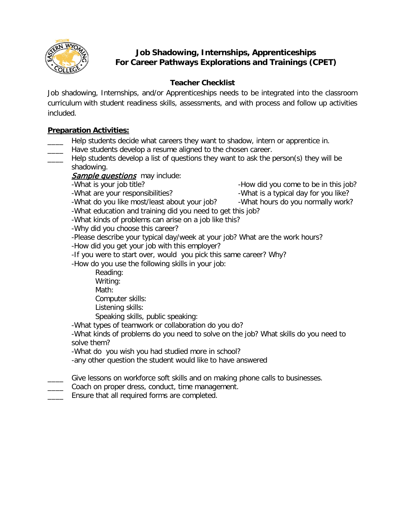

# **Job Shadowing, Internships, Apprenticeships For Career Pathways Explorations and Trainings (CPET)**

## **Teacher Checklist**

Job shadowing, Internships, and/or Apprenticeships needs to be integrated into the classroom curriculum with student readiness skills, assessments, and with process and follow up activities included.

### **Preparation Activities:**

- Help students decide what careers they want to shadow, intern or apprentice in.
	- Have students develop a resume aligned to the chosen career.
- Help students develop a list of questions they want to ask the person(s) they will be shadowing.

# Sample questions may include:

-What is your job title?  $-$ How did you come to be in this job?

- -What are your responsibilities?  $-$ What is a typical day for you like?
- -What do you like most/least about your job? What hours do you normally work?

-What education and training did you need to get this job?

-What kinds of problems can arise on a job like this?

-Why did you choose this career?

-Please describe your typical day/week at your job? What are the work hours?

-How did you get your job with this employer?

-If you were to start over, would you pick this same career? Why?

-How do you use the following skills in your job:

Reading: Writing: Math: Computer skills:

Listening skills:

Speaking skills, public speaking:

-What types of teamwork or collaboration do you do?

-What kinds of problems do you need to solve on the job? What skills do you need to solve them?

-What do you wish you had studied more in school?

-any other question the student would like to have answered

Give lessons on workforce soft skills and on making phone calls to businesses.

- Coach on proper dress, conduct, time management.
- Ensure that all required forms are completed.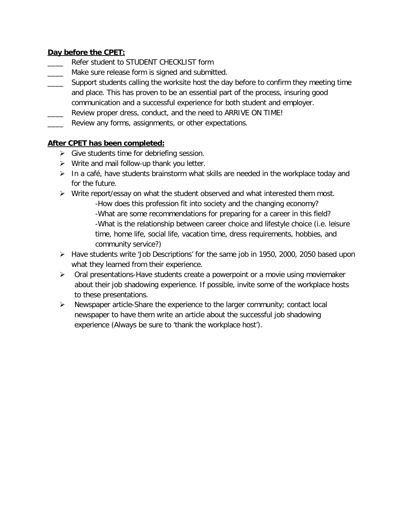### **Day before the CPET:**

- Refer student to STUDENT CHECKLIST form
- Make sure release form is signed and submitted.
- \_\_\_\_ Support students calling the worksite host the day before to confirm they meeting time and place. This has proven to be an essential part of the process, insuring good communication and a successful experience for both student and employer.
- Review proper dress, conduct, and the need to ARRIVE ON TIME!
- \_\_\_\_ Review any forms, assignments, or other expectations.

### **After CPET has been completed:**

- $\triangleright$  Give students time for debriefing session.
- $\triangleright$  Write and mail follow-up thank you letter.
- $\triangleright$  In a café, have students brainstorm what skills are needed in the workplace today and for the future.
- $\triangleright$  Write report/essay on what the student observed and what interested them most. -How does this profession fit into society and the changing economy? -What are some recommendations for preparing for a career in this field? -What is the relationship between career choice and lifestyle choice (i.e. leisure time, home life, social life, vacation time, dress requirements, hobbies, and community service?)
- Have students write 'Job Descriptions' for the same job in 1950, 2000, 2050 based upon what they learned from their experience.
- $\triangleright$  Oral presentations-Have students create a powerpoint or a movie using moviemaker about their job shadowing experience. If possible, invite some of the workplace hosts to these presentations.
- $\triangleright$  Newspaper article-Share the experience to the larger community; contact local newspaper to have them write an article about the successful job shadowing experience (Always be sure to 'thank the workplace host').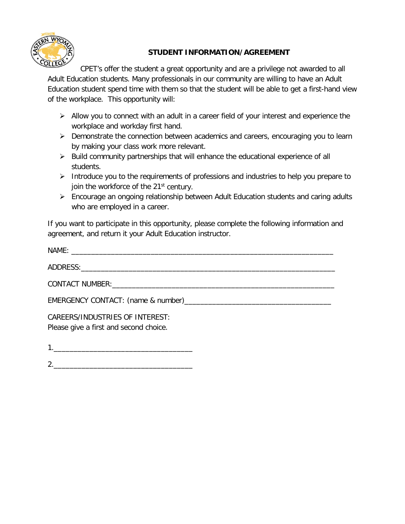

# **STUDENT INFORMATION/AGREEMENT**

CPET's offer the student a great opportunity and are a privilege not awarded to all Adult Education students. Many professionals in our community are willing to have an Adult Education student spend time with them so that the student will be able to get a first-hand view of the workplace. This opportunity will:

- $\triangleright$  Allow you to connect with an adult in a career field of your interest and experience the workplace and workday first hand.
- $\triangleright$  Demonstrate the connection between academics and careers, encouraging you to learn by making your class work more relevant.
- $\triangleright$  Build community partnerships that will enhance the educational experience of all students.
- $\triangleright$  Introduce you to the requirements of professions and industries to help you prepare to join the workforce of the 21<sup>st</sup> century.
- Encourage an ongoing relationship between Adult Education students and caring adults who are employed in a career.

If you want to participate in this opportunity, please complete the following information and agreement, and return it your Adult Education instructor.

| CAREERS/INDUSTRIES OF INTEREST:<br>Please give a first and second choice. |
|---------------------------------------------------------------------------|

1.\_\_\_\_\_\_\_\_\_\_\_\_\_\_\_\_\_\_\_\_\_\_\_\_\_\_\_\_\_\_\_\_\_\_\_

2.\_\_\_\_\_\_\_\_\_\_\_\_\_\_\_\_\_\_\_\_\_\_\_\_\_\_\_\_\_\_\_\_\_\_\_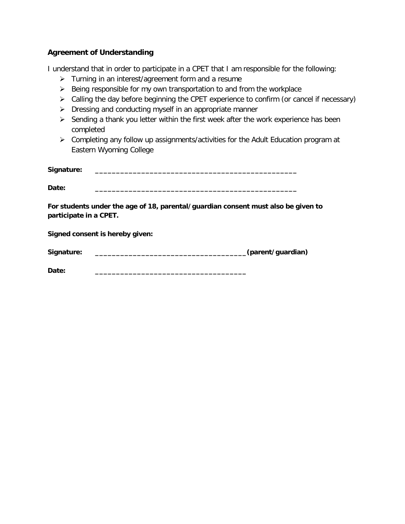### **Agreement of Understanding**

I understand that in order to participate in a CPET that I am responsible for the following:

- $\triangleright$  Turning in an interest/agreement form and a resume
- $\triangleright$  Being responsible for my own transportation to and from the workplace
- $\triangleright$  Calling the day before beginning the CPET experience to confirm (or cancel if necessary)
- $\triangleright$  Dressing and conducting myself in an appropriate manner
- $\triangleright$  Sending a thank you letter within the first week after the work experience has been completed
- Completing any follow up assignments/activities for the Adult Education program at Eastern Wyoming College

| Signature: |  |
|------------|--|
|            |  |
| Date:      |  |

**For students under the age of 18, parental/guardian consent must also be given to participate in a CPET.** 

**Signed consent is hereby given:**

| Signature: | (parent/guardian) |
|------------|-------------------|
|------------|-------------------|

**Date: \_\_\_\_\_\_\_\_\_\_\_\_\_\_\_\_\_\_\_\_\_\_\_\_\_\_\_\_\_\_\_\_\_\_\_\_**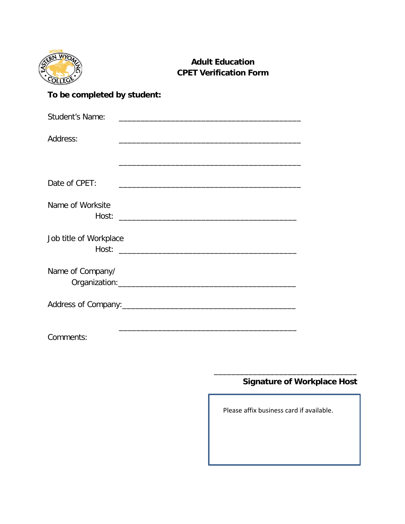

# **Adult Education CPET Verification Form**

# **To be completed by student:**

| Student's Name:        |                                                                                                                      |
|------------------------|----------------------------------------------------------------------------------------------------------------------|
| Address:               |                                                                                                                      |
|                        |                                                                                                                      |
| Date of CPET:          | <u> 1989 - Johann John Harry Harry Harry Harry Harry Harry Harry Harry Harry Harry Harry Harry Harry Harry Harry</u> |
| Name of Worksite       |                                                                                                                      |
| Job title of Workplace |                                                                                                                      |
| Name of Company/       |                                                                                                                      |
|                        |                                                                                                                      |
| Comments:              |                                                                                                                      |

# **Signature of Workplace Host**

Please affix business card if available.

\_\_\_\_\_\_\_\_\_\_\_\_\_\_\_\_\_\_\_\_\_\_\_\_\_\_\_\_\_\_\_\_\_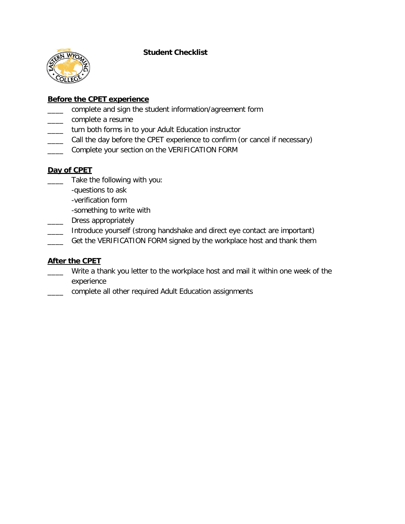#### **Student Checklist**



### **Before the CPET experience**

- complete and sign the student information/agreement form
- \_\_\_\_ complete a resume
- \_\_\_\_ turn both forms in to your Adult Education instructor
- \_\_\_\_ Call the day before the CPET experience to confirm (or cancel if necessary)
- \_\_\_\_ Complete your section on the VERIFICATION FORM

### **Day of CPET**

- \_\_\_\_ Take the following with you:
	- -questions to ask
	- -verification form
	- -something to write with
- Dress appropriately
- Introduce yourself (strong handshake and direct eye contact are important)
- Get the VERIFICATION FORM signed by the workplace host and thank them

### **After the CPET**

- Write a thank you letter to the workplace host and mail it within one week of the experience
- complete all other required Adult Education assignments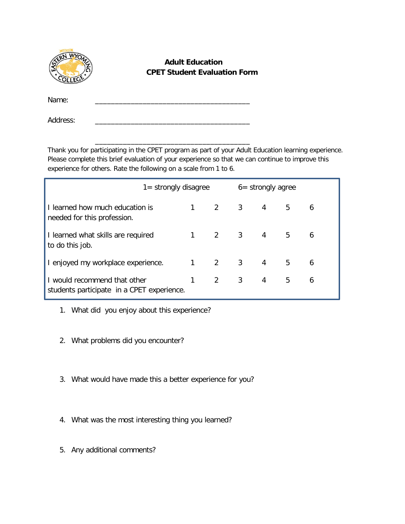

## **Adult Education CPET Student Evaluation Form**

Name: \_\_\_\_\_\_\_\_\_\_\_\_\_\_\_\_\_\_\_\_\_\_\_\_\_\_\_\_\_\_\_\_\_\_\_\_\_\_\_

Address:

Thank you for participating in the CPET program as part of your Adult Education learning experience. Please complete this brief evaluation of your experience so that we can continue to improve this experience for others. Rate the following on a scale from 1 to 6.

\_\_\_\_\_\_\_\_\_\_\_\_\_\_\_\_\_\_\_\_\_\_\_\_\_\_\_\_\_\_\_\_\_\_\_\_\_\_\_

|                                                                            | $1 =$ strongly disagree |           |                                | $6 =$ strongly agree                |   |                |   |
|----------------------------------------------------------------------------|-------------------------|-----------|--------------------------------|-------------------------------------|---|----------------|---|
| I learned how much education is<br>needed for this profession.             |                         | $1 \quad$ |                                | $2 \qquad 3 \qquad 4$               |   | 5 <sub>5</sub> | 6 |
| I learned what skills are required<br>to do this job.                      |                         |           |                                | $1 \quad 2 \quad 3 \quad 4 \quad 5$ |   |                | 6 |
| I enjoyed my workplace experience.                                         |                         |           |                                | $1 \quad 2 \quad 3 \quad 4$         |   | 5              | 6 |
| I would recommend that other<br>students participate in a CPET experience. |                         | 1         | $2 \left( \frac{1}{2} \right)$ | 3                                   | 4 | 5              | 6 |

- 1. What did you enjoy about this experience?
- 2. What problems did you encounter?
- 3. What would have made this a better experience for you?
- 4. What was the most interesting thing you learned?
- 5. Any additional comments?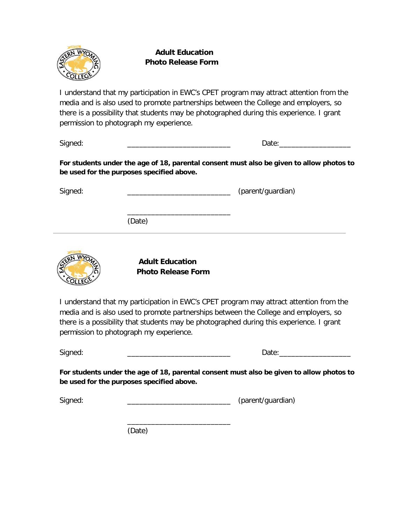

 **Adult Education Photo Release Form**

I understand that my participation in EWC's CPET program may attract attention from the media and is also used to promote partnerships between the College and employers, so there is a possibility that students may be photographed during this experience. I grant permission to photograph my experience.

Signed: \_\_\_\_\_\_\_\_\_\_\_\_\_\_\_\_\_\_\_\_\_\_\_\_\_\_ Date:\_\_\_\_\_\_\_\_\_\_\_\_\_\_\_\_\_\_

**For students under the age of 18, parental consent must also be given to allow photos to be used for the purposes specified above.**

Signed: \_\_\_\_\_\_\_\_\_\_\_\_\_\_\_\_\_\_\_\_\_\_\_\_\_\_ (parent/guardian)

(Date)



 **Adult Education Photo Release Form**

\_\_\_\_\_\_\_\_\_\_\_\_\_\_\_\_\_\_\_\_\_\_\_\_\_\_

\_\_\_\_\_\_\_\_\_\_\_\_\_\_\_\_\_\_\_\_\_\_\_\_\_\_

I understand that my participation in EWC's CPET program may attract attention from the media and is also used to promote partnerships between the College and employers, so there is a possibility that students may be photographed during this experience. I grant permission to photograph my experience.

Signed: \_\_\_\_\_\_\_\_\_\_\_\_\_\_\_\_\_\_\_\_\_\_\_\_\_\_ Date:\_\_\_\_\_\_\_\_\_\_\_\_\_\_\_\_\_\_

**For students under the age of 18, parental consent must also be given to allow photos to be used for the purposes specified above.**

Signed: \_\_\_\_\_\_\_\_\_\_\_\_\_\_\_\_\_\_\_\_\_\_\_\_\_\_ (parent/guardian)

(Date)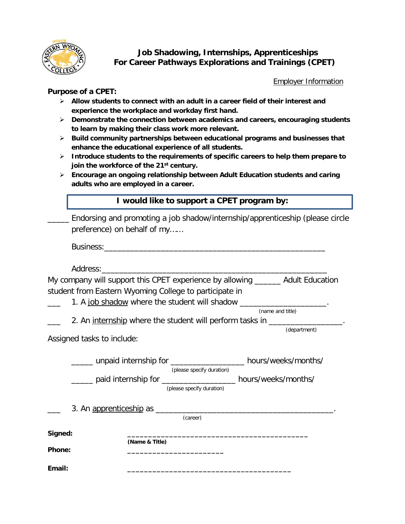

# **Job Shadowing, Internships, Apprenticeships For Career Pathways Explorations and Trainings (CPET)**

Employer Information

#### **Purpose of a CPET:**

- **Allow students to connect with an adult in a career field of their interest and experience the workplace and workday first hand.**
- **Demonstrate the connection between academics and careers, encouraging students to learn by making their class work more relevant.**
- **Build community partnerships between educational programs and businesses that enhance the educational experience of all students.**
- **Introduce students to the requirements of specific careers to help them prepare to join the workforce of the 21st century.**
- **Encourage an ongoing relationship between Adult Education students and caring adults who are employed in a career.**

|         | I would like to support a CPET program by:<br>Endorsing and promoting a job shadow/internship/apprenticeship (please circle<br>preference) on behalf of my                                                      |                  |  |  |  |  |  |
|---------|-----------------------------------------------------------------------------------------------------------------------------------------------------------------------------------------------------------------|------------------|--|--|--|--|--|
|         |                                                                                                                                                                                                                 |                  |  |  |  |  |  |
|         |                                                                                                                                                                                                                 |                  |  |  |  |  |  |
|         |                                                                                                                                                                                                                 |                  |  |  |  |  |  |
|         | My company will support this CPET experience by allowing ______ Adult Education<br>student from Eastern Wyoming College to participate in<br>1. A job shadow where the student will shadow ___________________. |                  |  |  |  |  |  |
|         |                                                                                                                                                                                                                 | (name and title) |  |  |  |  |  |
|         | 2. An internship where the student will perform tasks in __________________.                                                                                                                                    | (department)     |  |  |  |  |  |
|         | Assigned tasks to include:                                                                                                                                                                                      |                  |  |  |  |  |  |
|         | _____ unpaid internship for ________________ hours/weeks/months/<br>(please specify duration)                                                                                                                   |                  |  |  |  |  |  |
|         | _____ paid internship for _________________ hours/weeks/months/<br>(please specify duration)                                                                                                                    |                  |  |  |  |  |  |
|         | (career)                                                                                                                                                                                                        |                  |  |  |  |  |  |
| Signed: |                                                                                                                                                                                                                 |                  |  |  |  |  |  |
| Phone:  | (Name & Title)                                                                                                                                                                                                  |                  |  |  |  |  |  |
| Email:  |                                                                                                                                                                                                                 |                  |  |  |  |  |  |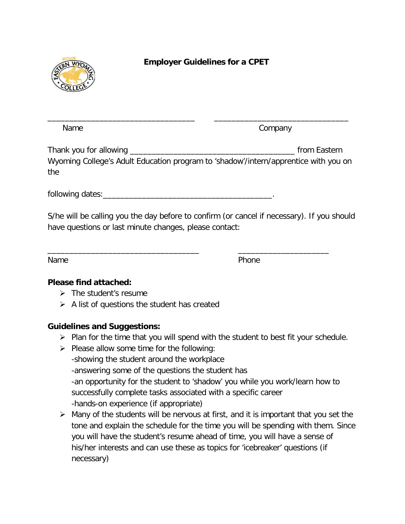

# **Employer Guidelines for a CPET**

Name Company

Thank you for allowing Thank you for allowing Wyoming College's Adult Education program to 'shadow'/intern/apprentice with you on the

\_\_\_\_\_\_\_\_\_\_\_\_\_\_\_\_\_\_\_\_\_\_\_\_\_\_\_\_\_\_\_\_\_\_ \_\_\_\_\_\_\_\_\_\_\_\_\_\_\_\_\_\_\_\_\_\_\_\_\_\_\_\_\_\_\_

following dates:\_\_\_\_\_\_\_\_\_\_\_\_\_\_\_\_\_\_\_\_\_\_\_\_\_\_\_\_\_\_\_\_\_\_\_\_\_\_\_.

S/he will be calling you the day before to confirm (or cancel if necessary). If you should have questions or last minute changes, please contact:

\_\_\_\_\_\_\_\_\_\_\_\_\_\_\_\_\_\_\_\_\_\_\_\_\_\_\_\_\_\_\_\_\_\_\_ \_\_\_\_\_\_\_\_\_\_\_\_\_\_\_\_\_\_\_\_\_

Name **Name** Phone

# **Please find attached:**

- $\triangleright$  The student's resume
- $\triangleright$  A list of questions the student has created

# **Guidelines and Suggestions:**

- $\triangleright$  Plan for the time that you will spend with the student to best fit your schedule.
- $\triangleright$  Please allow some time for the following: -showing the student around the workplace -answering some of the questions the student has -an opportunity for the student to 'shadow' you while you work/learn how to successfully complete tasks associated with a specific career -hands-on experience (if appropriate)
- $\triangleright$  Many of the students will be nervous at first, and it is important that you set the tone and explain the schedule for the time you will be spending with them. Since you will have the student's resume ahead of time, you will have a sense of his/her interests and can use these as topics for 'icebreaker' questions (if necessary)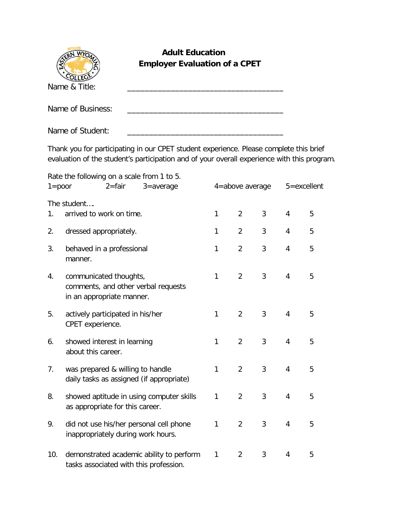| <b>Adult Education</b><br><b>WV</b><br><b>Employer Evaluation of a CPET</b>                                                                                                           |                                                                                                                                           |  |  |   |                |   |   |   |
|---------------------------------------------------------------------------------------------------------------------------------------------------------------------------------------|-------------------------------------------------------------------------------------------------------------------------------------------|--|--|---|----------------|---|---|---|
|                                                                                                                                                                                       | Name & Title:                                                                                                                             |  |  |   |                |   |   |   |
|                                                                                                                                                                                       | Name of Business:                                                                                                                         |  |  |   |                |   |   |   |
|                                                                                                                                                                                       | Name of Student:<br><u> 1989 - Johann John Stone, market fan it ferskearre fan it ferskearre fan it ferskearre fan it ferskearre fan </u> |  |  |   |                |   |   |   |
| Thank you for participating in our CPET student experience. Please complete this brief<br>evaluation of the student's participation and of your overall experience with this program. |                                                                                                                                           |  |  |   |                |   |   |   |
| Rate the following on a scale from 1 to 5.<br>$2 =$ fair<br>4=above average<br>5=excellent<br>$1 = poor$<br>$3 = average$                                                             |                                                                                                                                           |  |  |   |                |   |   |   |
| $1_{\cdot}$                                                                                                                                                                           | The student<br>arrived to work on time.                                                                                                   |  |  | 1 | 2              | 3 | 4 | 5 |
| 2.                                                                                                                                                                                    | dressed appropriately.                                                                                                                    |  |  | 1 | $\overline{2}$ | 3 | 4 | 5 |
| 3.                                                                                                                                                                                    | behaved in a professional<br>manner.                                                                                                      |  |  | 1 | 2              | 3 | 4 | 5 |
| 4.                                                                                                                                                                                    | communicated thoughts,<br>comments, and other verbal requests<br>in an appropriate manner.                                                |  |  | 1 | 2              | 3 | 4 | 5 |

- 5. actively participated in his/her 1 2 3 4 5 CPET experience.
- 6. showed interest in learning 1 2 3 4 5 about this career.
- 7. was prepared & willing to handle  $\begin{array}{cccc} 1 & 2 & 3 & 4 & 5 \end{array}$ daily tasks as assigned (if appropriate)
- 8. showed aptitude in using computer skills 1 2 3 4 5 as appropriate for this career.
- 9. did not use his/her personal cell phone  $1 2 3 4 5$ inappropriately during work hours.
- 10. demonstrated academic ability to perform 1 2 3 4 5 tasks associated with this profession.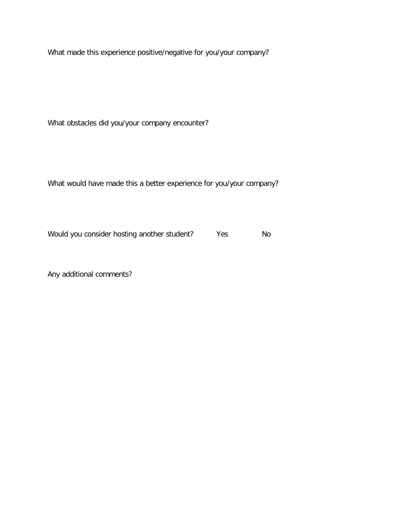What made this experience positive/negative for you/your company?

What obstacles did you/your company encounter?

What would have made this a better experience for you/your company?

Would you consider hosting another student? Yes No

Any additional comments?